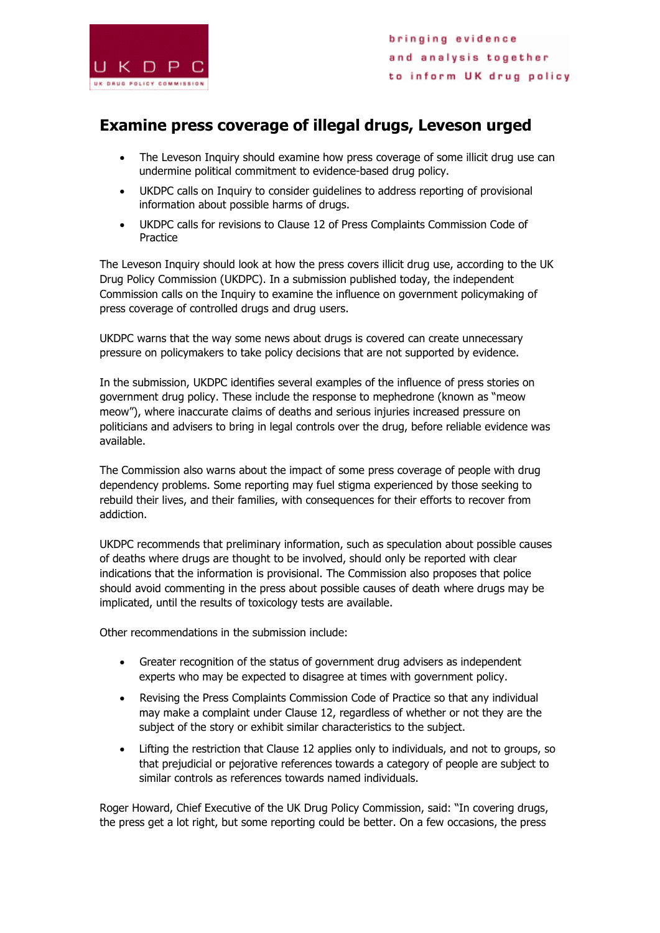

## **Examine press coverage of illegal drugs, Leveson urged**

- The Leveson Inquiry should examine how press coverage of some illicit drug use can undermine political commitment to evidence-based drug policy.
- UKDPC calls on Inquiry to consider guidelines to address reporting of provisional information about possible harms of drugs.
- UKDPC calls for revisions to Clause 12 of Press Complaints Commission Code of Practice

The Leveson Inquiry should look at how the press covers illicit drug use, according to the UK Drug Policy Commission (UKDPC). In a submission published today, the independent Commission calls on the Inquiry to examine the influence on government policymaking of press coverage of controlled drugs and drug users.

UKDPC warns that the way some news about drugs is covered can create unnecessary pressure on policymakers to take policy decisions that are not supported by evidence.

In the submission, UKDPC identifies several examples of the influence of press stories on government drug policy. These include the response to mephedrone (known as "meow meow"), where inaccurate claims of deaths and serious injuries increased pressure on politicians and advisers to bring in legal controls over the drug, before reliable evidence was available.

The Commission also warns about the impact of some press coverage of people with drug dependency problems. Some reporting may fuel stigma experienced by those seeking to rebuild their lives, and their families, with consequences for their efforts to recover from addiction.

UKDPC recommends that preliminary information, such as speculation about possible causes of deaths where drugs are thought to be involved, should only be reported with clear indications that the information is provisional. The Commission also proposes that police should avoid commenting in the press about possible causes of death where drugs may be implicated, until the results of toxicology tests are available.

Other recommendations in the submission include:

- Greater recognition of the status of government drug advisers as independent experts who may be expected to disagree at times with government policy.
- Revising the Press Complaints Commission Code of Practice so that any individual may make a complaint under Clause 12, regardless of whether or not they are the subject of the story or exhibit similar characteristics to the subject.
- Lifting the restriction that Clause 12 applies only to individuals, and not to groups, so that prejudicial or pejorative references towards a category of people are subject to similar controls as references towards named individuals.

Roger Howard, Chief Executive of the UK Drug Policy Commission, said: "In covering drugs, the press get a lot right, but some reporting could be better. On a few occasions, the press